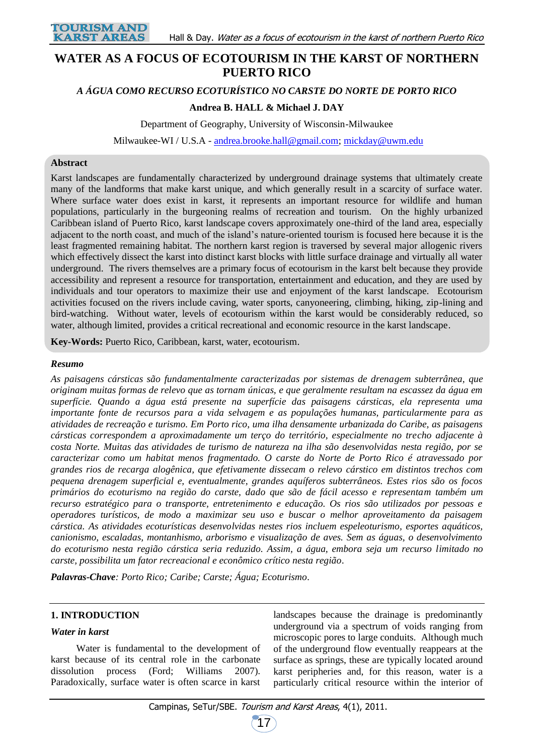

# **WATER AS A FOCUS OF ECOTOURISM IN THE KARST OF NORTHERN PUERTO RICO**

*A ÁGUA COMO RECURSO ECOTURÍSTICO NO CARSTE DO NORTE DE PORTO RICO*

## **Andrea B. HALL & Michael J. DAY**

Department of Geography, University of Wisconsin-Milwaukee

Milwaukee-WI / U.S.A - [andrea.brooke.hall@gmail.com;](mailto:andrea.brooke.hall@gmail.com) [mickday@uwm.edu](mailto:mickday@uwm.edu)

#### **Abstract**

Karst landscapes are fundamentally characterized by underground drainage systems that ultimately create many of the landforms that make karst unique, and which generally result in a scarcity of surface water. Where surface water does exist in karst, it represents an important resource for wildlife and human populations, particularly in the burgeoning realms of recreation and tourism. On the highly urbanized Caribbean island of Puerto Rico, karst landscape covers approximately one-third of the land area, especially adjacent to the north coast, and much of the island's nature-oriented tourism is focused here because it is the least fragmented remaining habitat. The northern karst region is traversed by several major allogenic rivers which effectively dissect the karst into distinct karst blocks with little surface drainage and virtually all water underground. The rivers themselves are a primary focus of ecotourism in the karst belt because they provide accessibility and represent a resource for transportation, entertainment and education, and they are used by individuals and tour operators to maximize their use and enjoyment of the karst landscape. Ecotourism activities focused on the rivers include caving, water sports, canyoneering, climbing, hiking, zip-lining and bird-watching. Without water, levels of ecotourism within the karst would be considerably reduced, so water, although limited, provides a critical recreational and economic resource in the karst landscape.

**Key-Words:** Puerto Rico, Caribbean, karst, water, ecotourism.

#### *Resumo*

*As paisagens cársticas são fundamentalmente caracterizadas por sistemas de drenagem subterrânea, que originam muitas formas de relevo que as tornam únicas, e que geralmente resultam na escassez da água em superfície. Quando a água está presente na superfície das paisagens cársticas, ela representa uma importante fonte de recursos para a vida selvagem e as populações humanas, particularmente para as atividades de recreação e turismo. Em Porto rico, uma ilha densamente urbanizada do Caribe, as paisagens cársticas correspondem a aproximadamente um terço do território, especialmente no trecho adjacente à costa Norte. Muitas das atividades de turismo de natureza na ilha são desenvolvidas nesta região, por se caracterizar como um habitat menos fragmentado. O carste do Norte de Porto Rico é atravessado por grandes rios de recarga alogênica, que efetivamente dissecam o relevo cárstico em distintos trechos com pequena drenagem superficial e, eventualmente, grandes aquíferos subterrâneos. Estes rios são os focos primários do ecoturismo na região do carste, dado que são de fácil acesso e representam também um recurso estratégico para o transporte, entretenimento e educação. Os rios são utilizados por pessoas e operadores turísticos, de modo a maximizar seu uso e buscar o melhor aproveitamento da paisagem cárstica. As atividades ecoturísticas desenvolvidas nestes rios incluem espeleoturismo, esportes aquáticos, canionismo, escaladas, montanhismo, arborismo e visualização de aves. Sem as águas, o desenvolvimento do ecoturismo nesta região cárstica seria reduzido. Assim, a água, embora seja um recurso limitado no carste, possibilita um fator recreacional e econômico crítico nesta região.*

*Palavras-Chave: Porto Rico; Caribe; Carste; Água; Ecoturismo.*

## **1. INTRODUCTION**

#### *Water in karst*

Water is fundamental to the development of karst because of its central role in the carbonate dissolution process (Ford; Williams 2007). Paradoxically, surface water is often scarce in karst landscapes because the drainage is predominantly underground via a spectrum of voids ranging from microscopic pores to large conduits. Although much of the underground flow eventually reappears at the surface as springs, these are typically located around karst peripheries and, for this reason, water is a particularly critical resource within the interior of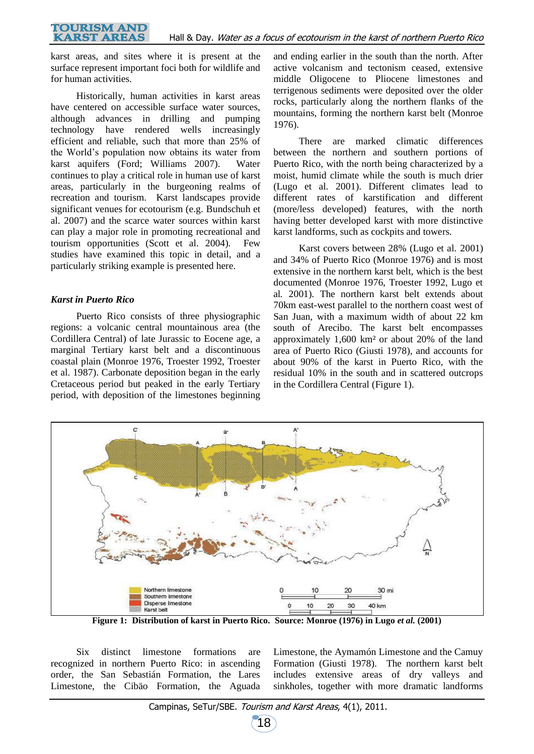karst areas, and sites where it is present at the surface represent important foci both for wildlife and for human activities.

Historically, human activities in karst areas have centered on accessible surface water sources, although advances in drilling and pumping technology have rendered wells increasingly efficient and reliable, such that more than 25% of the World's population now obtains its water from karst aquifers (Ford; Williams 2007). Water continues to play a critical role in human use of karst areas, particularly in the burgeoning realms of recreation and tourism. Karst landscapes provide significant venues for ecotourism (e.g. Bundschuh et al. 2007) and the scarce water sources within karst can play a major role in promoting recreational and tourism opportunities (Scott et al. 2004). Few studies have examined this topic in detail, and a particularly striking example is presented here.

## *Karst in Puerto Rico*

Puerto Rico consists of three physiographic regions: a volcanic central mountainous area (the Cordillera Central) of late Jurassic to Eocene age, a marginal Tertiary karst belt and a discontinuous coastal plain (Monroe 1976, Troester 1992, Troester et al. 1987). Carbonate deposition began in the early Cretaceous period but peaked in the early Tertiary period, with deposition of the limestones beginning

and ending earlier in the south than the north. After active volcanism and tectonism ceased, extensive middle Oligocene to Pliocene limestones and terrigenous sediments were deposited over the older rocks, particularly along the northern flanks of the mountains, forming the northern karst belt (Monroe 1976).

There are marked climatic differences between the northern and southern portions of Puerto Rico, with the north being characterized by a moist, humid climate while the south is much drier (Lugo et al*.* 2001). Different climates lead to different rates of karstification and different (more/less developed) features, with the north having better developed karst with more distinctive karst landforms, such as cockpits and towers.

Karst covers between 28% (Lugo et al*.* 2001) and 34% of Puerto Rico (Monroe 1976) and is most extensive in the northern karst belt, which is the best documented (Monroe 1976, Troester 1992, Lugo et al*.* 2001). The northern karst belt extends about 70km east-west parallel to the northern coast west of San Juan, with a maximum width of about 22 km south of Arecibo. The karst belt encompasses approximately 1,600 km² or about 20% of the land area of Puerto Rico (Giusti 1978), and accounts for about 90% of the karst in Puerto Rico, with the residual 10% in the south and in scattered outcrops in the Cordillera Central (Figure 1).



**Figure 1: Distribution of karst in Puerto Rico. Source: Monroe (1976) in Lugo** *et al.* **(2001)**

Six distinct limestone formations are recognized in northern Puerto Rico: in ascending order, the San Sebastián Formation, the Lares Limestone, the Cibäo Formation, the Aguada Limestone, the Aymamón Limestone and the Camuy Formation (Giusti 1978). The northern karst belt includes extensive areas of dry valleys and sinkholes, together with more dramatic landforms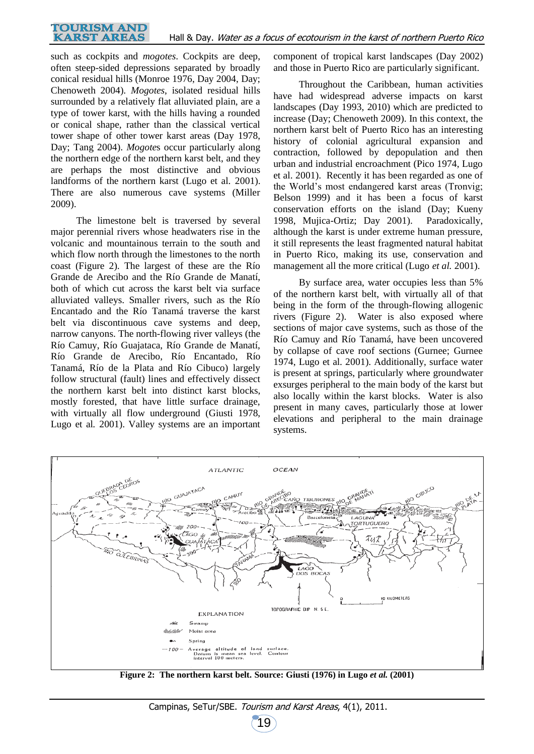such as cockpits and *mogotes*. Cockpits are deep, often steep-sided depressions separated by broadly conical residual hills (Monroe 1976, Day 2004, Day; Chenoweth 2004). *Mogotes*, isolated residual hills surrounded by a relatively flat alluviated plain, are a type of tower karst, with the hills having a rounded or conical shape, rather than the classical vertical tower shape of other tower karst areas (Day 1978, Day; Tang 2004). *Mogote*s occur particularly along the northern edge of the northern karst belt, and they are perhaps the most distinctive and obvious landforms of the northern karst (Lugo et al*.* 2001). There are also numerous cave systems (Miller 2009).

The limestone belt is traversed by several major perennial rivers whose headwaters rise in the volcanic and mountainous terrain to the south and which flow north through the limestones to the north coast (Figure 2). The largest of these are the Río Grande de Arecibo and the Río Grande de Manatí, both of which cut across the karst belt via surface alluviated valleys. Smaller rivers, such as the Río Encantado and the Río Tanamá traverse the karst belt via discontinuous cave systems and deep, narrow canyons. The north-flowing river valleys (the Río Camuy, Río Guajataca, Río Grande de Manatí, Río Grande de Arecibo, Río Encantado, Río Tanamá, Río de la Plata and Río Cibuco) largely follow structural (fault) lines and effectively dissect the northern karst belt into distinct karst blocks, mostly forested, that have little surface drainage, with virtually all flow underground (Giusti 1978, Lugo et al*.* 2001). Valley systems are an important

component of tropical karst landscapes (Day 2002) and those in Puerto Rico are particularly significant.

Throughout the Caribbean, human activities have had widespread adverse impacts on karst landscapes (Day 1993, 2010) which are predicted to increase (Day; Chenoweth 2009). In this context, the northern karst belt of Puerto Rico has an interesting history of colonial agricultural expansion and contraction, followed by depopulation and then urban and industrial encroachment (Pico 1974, Lugo et al. 2001). Recently it has been regarded as one of the World's most endangered karst areas (Tronvig; Belson 1999) and it has been a focus of karst conservation efforts on the island (Day; Kueny 1998, Mujica-Ortiz; Day 2001). Paradoxically, although the karst is under extreme human pressure, it still represents the least fragmented natural habitat in Puerto Rico, making its use, conservation and management all the more critical (Lugo *et al.* 2001).

By surface area, water occupies less than 5% of the northern karst belt, with virtually all of that being in the form of the through-flowing allogenic rivers (Figure 2). Water is also exposed where sections of major cave systems, such as those of the Río Camuy and Río Tanamá, have been uncovered by collapse of cave roof sections (Gurnee; Gurnee 1974, Lugo et al. 2001). Additionally, surface water is present at springs, particularly where groundwater exsurges peripheral to the main body of the karst but also locally within the karst blocks. Water is also present in many caves, particularly those at lower elevations and peripheral to the main drainage systems.



**Figure 2: The northern karst belt. Source: Giusti (1976) in Lugo** *et al.* **(2001)**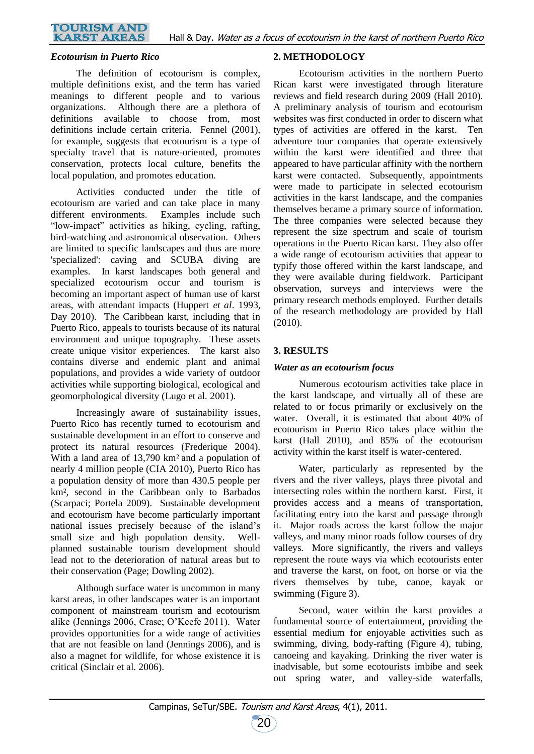#### **TOURISM AND KARST AREAS**

## *Ecotourism in Puerto Rico*

The definition of ecotourism is complex, multiple definitions exist, and the term has varied meanings to different people and to various organizations. Although there are a plethora of definitions available to choose from, most definitions include certain criteria. Fennel (2001), for example, suggests that ecotourism is a type of specialty travel that is nature-oriented, promotes conservation, protects local culture, benefits the local population, and promotes education.

Activities conducted under the title of ecotourism are varied and can take place in many different environments. Examples include such "low-impact" activities as hiking, cycling, rafting, bird-watching and astronomical observation. Others are limited to specific landscapes and thus are more 'specialized': caving and SCUBA diving are examples. In karst landscapes both general and specialized ecotourism occur and tourism is becoming an important aspect of human use of karst areas, with attendant impacts (Huppert *et al*. 1993, Day 2010). The Caribbean karst, including that in Puerto Rico, appeals to tourists because of its natural environment and unique topography. These assets create unique visitor experiences. The karst also contains diverse and endemic plant and animal populations, and provides a wide variety of outdoor activities while supporting biological, ecological and geomorphological diversity (Lugo et al*.* 2001).

Increasingly aware of sustainability issues, Puerto Rico has recently turned to ecotourism and sustainable development in an effort to conserve and protect its natural resources (Frederique 2004). With a land area of 13,790 km<sup>2</sup> and a population of nearly 4 million people (CIA 2010), Puerto Rico has a population density of more than 430.5 people per km², second in the Caribbean only to Barbados (Scarpaci; Portela 2009). Sustainable development and ecotourism have become particularly important national issues precisely because of the island's small size and high population density. Wellplanned sustainable tourism development should lead not to the deterioration of natural areas but to their conservation (Page; Dowling 2002).

Although surface water is uncommon in many karst areas, in other landscapes water is an important component of mainstream tourism and ecotourism alike (Jennings 2006, Crase; O'Keefe 2011). Water provides opportunities for a wide range of activities that are not feasible on land (Jennings 2006), and is also a magnet for wildlife, for whose existence it is critical (Sinclair et al. 2006).

## **2. METHODOLOGY**

Ecotourism activities in the northern Puerto Rican karst were investigated through literature reviews and field research during 2009 (Hall 2010). A preliminary analysis of tourism and ecotourism websites was first conducted in order to discern what types of activities are offered in the karst. Ten adventure tour companies that operate extensively within the karst were identified and three that appeared to have particular affinity with the northern karst were contacted. Subsequently, appointments were made to participate in selected ecotourism activities in the karst landscape, and the companies themselves became a primary source of information. The three companies were selected because they represent the size spectrum and scale of tourism operations in the Puerto Rican karst. They also offer a wide range of ecotourism activities that appear to typify those offered within the karst landscape, and they were available during fieldwork. Participant observation, surveys and interviews were the primary research methods employed. Further details of the research methodology are provided by Hall (2010).

## **3. RESULTS**

## *Water as an ecotourism focus*

Numerous ecotourism activities take place in the karst landscape, and virtually all of these are related to or focus primarily or exclusively on the water. Overall, it is estimated that about 40% of ecotourism in Puerto Rico takes place within the karst (Hall 2010), and 85% of the ecotourism activity within the karst itself is water-centered.

Water, particularly as represented by the rivers and the river valleys, plays three pivotal and intersecting roles within the northern karst. First, it provides access and a means of transportation, facilitating entry into the karst and passage through it. Major roads across the karst follow the major valleys, and many minor roads follow courses of dry valleys. More significantly, the rivers and valleys represent the route ways via which ecotourists enter and traverse the karst, on foot, on horse or via the rivers themselves by tube, canoe, kayak or swimming (Figure 3).

Second, water within the karst provides a fundamental source of entertainment, providing the essential medium for enjoyable activities such as swimming, diving, body-rafting (Figure 4), tubing, canoeing and kayaking. Drinking the river water is inadvisable, but some ecotourists imbibe and seek out spring water, and valley-side waterfalls,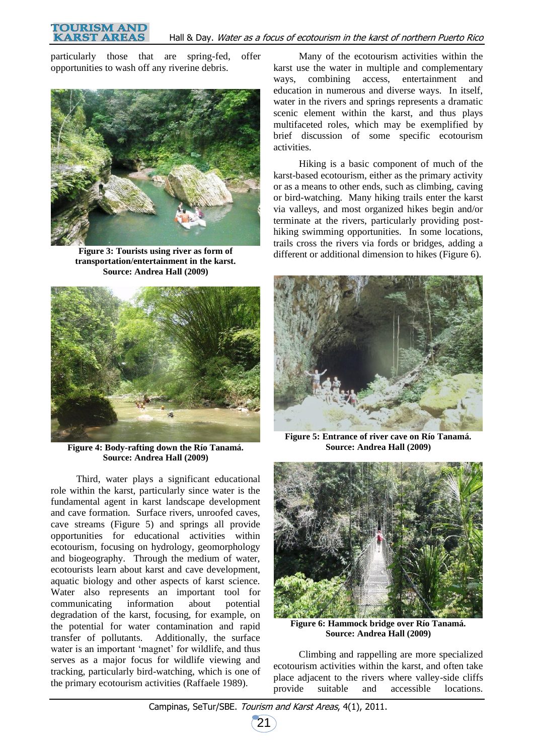particularly those that are spring-fed, offer opportunities to wash off any riverine debris.



**Figure 3: Tourists using river as form of transportation/entertainment in the karst. Source: Andrea Hall (2009)**



**Figure 4: Body-rafting down the Río Tanamá. Source: Andrea Hall (2009)**

Third, water plays a significant educational role within the karst, particularly since water is the fundamental agent in karst landscape development and cave formation. Surface rivers, unroofed caves, cave streams (Figure 5) and springs all provide opportunities for educational activities within ecotourism, focusing on hydrology, geomorphology and biogeography. Through the medium of water, ecotourists learn about karst and cave development, aquatic biology and other aspects of karst science. Water also represents an important tool for communicating information about potential degradation of the karst, focusing, for example, on the potential for water contamination and rapid transfer of pollutants. Additionally, the surface water is an important 'magnet' for wildlife, and thus serves as a major focus for wildlife viewing and tracking, particularly bird-watching, which is one of the primary ecotourism activities (Raffaele 1989).

Many of the ecotourism activities within the karst use the water in multiple and complementary ways, combining access, entertainment and education in numerous and diverse ways. In itself, water in the rivers and springs represents a dramatic scenic element within the karst, and thus plays multifaceted roles, which may be exemplified by brief discussion of some specific ecotourism activities.

Hiking is a basic component of much of the karst-based ecotourism, either as the primary activity or as a means to other ends, such as climbing, caving or bird-watching. Many hiking trails enter the karst via valleys, and most organized hikes begin and/or terminate at the rivers, particularly providing posthiking swimming opportunities. In some locations, trails cross the rivers via fords or bridges, adding a different or additional dimension to hikes (Figure 6).



**Figure 5: Entrance of river cave on Río Tanamá. Source: Andrea Hall (2009)**



**Figure 6: Hammock bridge over Río Tanamá. Source: Andrea Hall (2009)**

Climbing and rappelling are more specialized ecotourism activities within the karst, and often take place adjacent to the rivers where valley-side cliffs provide suitable and accessible locations.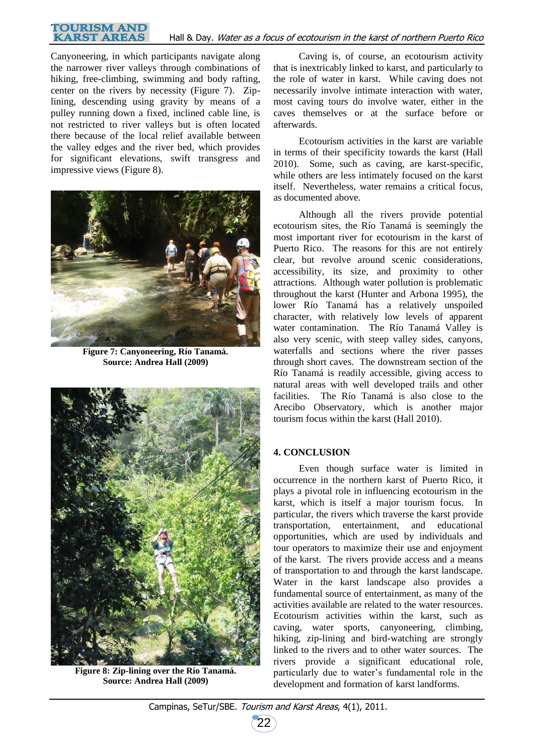#### **TOURISM AND KARST AREAS** Hall & Day. Water as a focus of ecotourism in the karst of northern Puerto Rico

Canyoneering, in which participants navigate along the narrower river valleys through combinations of hiking, free-climbing, swimming and body rafting, center on the rivers by necessity (Figure 7). Ziplining, descending using gravity by means of a pulley running down a fixed, inclined cable line, is not restricted to river valleys but is often located there because of the local relief available between the valley edges and the river bed, which provides for significant elevations, swift transgress and impressive views (Figure 8).



**Figure 7: Canyoneering, Río Tanamá. Source: Andrea Hall (2009)**



**Figure 8: Zip-lining over the Río Tanamá. Source: Andrea Hall (2009)**

Caving is, of course, an ecotourism activity that is inextricably linked to karst, and particularly to the role of water in karst. While caving does not necessarily involve intimate interaction with water, most caving tours do involve water, either in the caves themselves or at the surface before or afterwards.

Ecotourism activities in the karst are variable in terms of their specificity towards the karst (Hall 2010). Some, such as caving, are karst-specific, while others are less intimately focused on the karst itself. Nevertheless, water remains a critical focus, as documented above.

Although all the rivers provide potential ecotourism sites, the Río Tanamá is seemingly the most important river for ecotourism in the karst of Puerto Rico. The reasons for this are not entirely clear, but revolve around scenic considerations, accessibility, its size, and proximity to other attractions. Although water pollution is problematic throughout the karst (Hunter and Arbona 1995), the lower Río Tanamá has a relatively unspoiled character, with relatively low levels of apparent water contamination. The Río Tanamá Valley is also very scenic, with steep valley sides, canyons, waterfalls and sections where the river passes through short caves. The downstream section of the Río Tanamá is readily accessible, giving access to natural areas with well developed trails and other facilities. The Río Tanamá is also close to the Arecibo Observatory, which is another major tourism focus within the karst (Hall 2010).

## **4. CONCLUSION**

Even though surface water is limited in occurrence in the northern karst of Puerto Rico, it plays a pivotal role in influencing ecotourism in the karst, which is itself a major tourism focus. In particular, the rivers which traverse the karst provide transportation, entertainment, and educational opportunities, which are used by individuals and tour operators to maximize their use and enjoyment of the karst. The rivers provide access and a means of transportation to and through the karst landscape. Water in the karst landscape also provides a fundamental source of entertainment, as many of the activities available are related to the water resources. Ecotourism activities within the karst, such as caving, water sports, canyoneering, climbing, hiking, zip-lining and bird-watching are strongly linked to the rivers and to other water sources. The rivers provide a significant educational role, particularly due to water's fundamental role in the development and formation of karst landforms.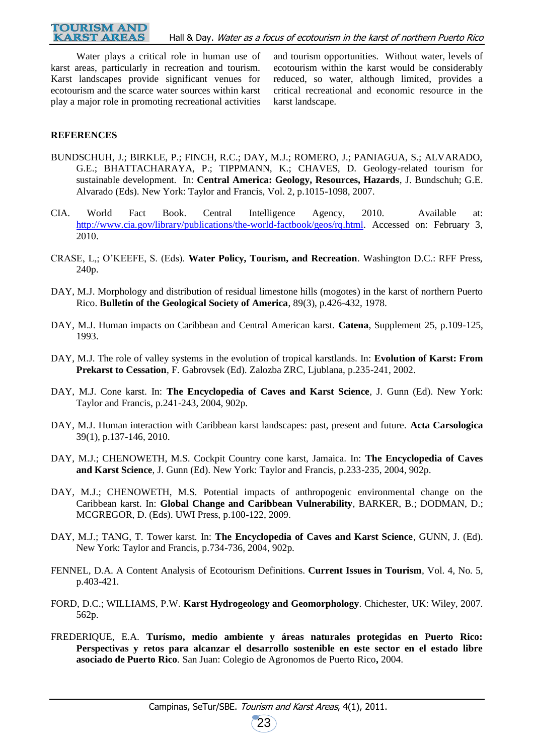Water plays a critical role in human use of karst areas, particularly in recreation and tourism. Karst landscapes provide significant venues for ecotourism and the scarce water sources within karst play a major role in promoting recreational activities

and tourism opportunities. Without water, levels of ecotourism within the karst would be considerably reduced, so water, although limited, provides a critical recreational and economic resource in the karst landscape.

## **REFERENCES**

- BUNDSCHUH, J.; BIRKLE, P.; FINCH, R.C.; DAY, M.J.; ROMERO, J.; PANIAGUA, S.; ALVARADO, G.E.; BHATTACHARAYA, P.; TIPPMANN, K.; CHAVES, D. Geology-related tourism for sustainable development. In: **Central America: Geology, Resources, Hazards**, J. Bundschuh; G.E. Alvarado (Eds). New York: Taylor and Francis, Vol. 2, p.1015-1098, 2007.
- CIA. World Fact Book. Central Intelligence Agency, 2010. Available at: [http://www.cia.gov/library/publications/the-world-factbook/geos/rq.html.](http://www.cia.gov/library/publications/the-world-factbook/geos/rq.html) Accessed on: February 3, 2010.
- CRASE, L,; O'KEEFE, S. (Eds). **Water Policy, Tourism, and Recreation**. Washington D.C.: RFF Press, 240p.
- DAY, M.J. Morphology and distribution of residual limestone hills (mogotes) in the karst of northern Puerto Rico. **Bulletin of the Geological Society of America**, 89(3), p.426-432, 1978.
- DAY, M.J. Human impacts on Caribbean and Central American karst. **Catena**, Supplement 25, p.109-125, 1993.
- DAY, M.J. The role of valley systems in the evolution of tropical karstlands. In: **Evolution of Karst: From Prekarst to Cessation**, F. Gabrovsek (Ed). Zalozba ZRC, Ljublana, p.235-241, 2002.
- DAY, M.J. Cone karst. In: **The Encyclopedia of Caves and Karst Science**, J. Gunn (Ed). New York: Taylor and Francis, p.241-243, 2004, 902p.
- DAY, M.J. Human interaction with Caribbean karst landscapes: past, present and future. **Acta Carsologica** 39(1), p.137-146, 2010.
- DAY, M.J.; CHENOWETH, M.S. Cockpit Country cone karst, Jamaica. In: **The Encyclopedia of Caves and Karst Science**, J. Gunn (Ed). New York: Taylor and Francis, p.233-235, 2004, 902p.
- DAY, M.J.; CHENOWETH, M.S. Potential impacts of anthropogenic environmental change on the Caribbean karst. In: **Global Change and Caribbean Vulnerability**, BARKER, B.; DODMAN, D.; MCGREGOR, D. (Eds). UWI Press, p.100-122, 2009.
- DAY, M.J.; TANG, T. Tower karst. In: **The Encyclopedia of Caves and Karst Science**, GUNN, J. (Ed). New York: Taylor and Francis, p.734-736, 2004, 902p.
- FENNEL, D.A. A Content Analysis of Ecotourism Definitions. **Current Issues in Tourism**, Vol. 4, No. 5, p.403-421.
- FORD, D.C.; WILLIAMS, P.W. **Karst Hydrogeology and Geomorphology**. Chichester, UK: Wiley, 2007. 562p.
- FREDERIQUE, E.A. **Turísmo, medio ambiente y áreas naturales protegidas en Puerto Rico: Perspectivas y retos para alcanzar el desarrollo sostenible en este sector en el estado libre asociado de Puerto Rico***.* San Juan: Colegio de Agronomos de Puerto Rico**,** 2004.

23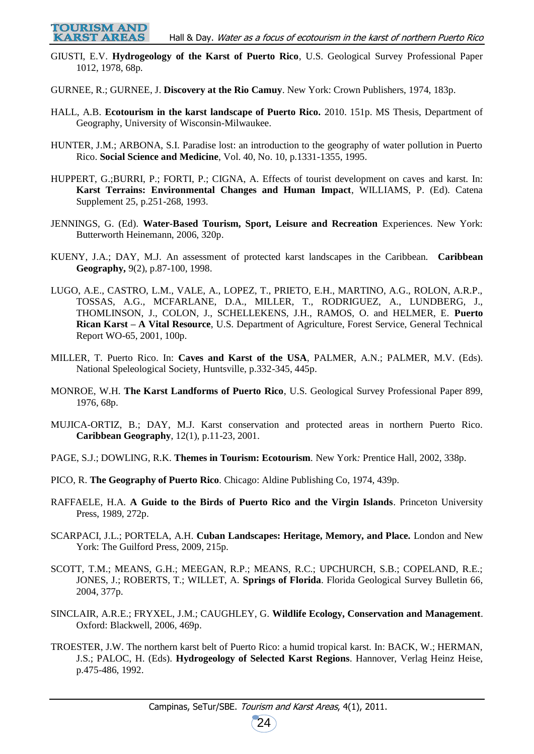GIUSTI, E.V. **Hydrogeology of the Karst of Puerto Rico**, U.S. Geological Survey Professional Paper 1012, 1978, 68p.

GURNEE, R.; GURNEE, J. **Discovery at the Rio Camuy**. New York: Crown Publishers, 1974, 183p.

- HALL, A.B. **Ecotourism in the karst landscape of Puerto Rico.** 2010. 151p. MS Thesis, Department of Geography, University of Wisconsin-Milwaukee.
- HUNTER, J.M.; ARBONA, S.I. Paradise lost: an introduction to the geography of water pollution in Puerto Rico. **Social Science and Medicine**, Vol. 40, No. 10, p.1331-1355, 1995.
- HUPPERT, G.;BURRI, P.; FORTI, P.; CIGNA, A. Effects of tourist development on caves and karst. In: **Karst Terrains: Environmental Changes and Human Impact**, WILLIAMS, P. (Ed). Catena Supplement 25, p.251-268, 1993.
- JENNINGS, G. (Ed). **Water-Based Tourism, Sport, Leisure and Recreation** Experiences. New York: Butterworth Heinemann, 2006, 320p.
- KUENY, J.A.; DAY, M.J. An assessment of protected karst landscapes in the Caribbean. **Caribbean Geography,** 9(2), p.87-100, 1998.
- LUGO, A.E., CASTRO, L.M., VALE, A., LOPEZ, T., PRIETO, E.H., MARTINO, A.G., ROLON, A.R.P., TOSSAS, A.G., MCFARLANE, D.A., MILLER, T., RODRIGUEZ, A., LUNDBERG, J., THOMLINSON, J., COLON, J., SCHELLEKENS, J.H., RAMOS, O. and HELMER, E. **Puerto Rican Karst – A Vital Resource**, U.S. Department of Agriculture, Forest Service, General Technical Report WO-65, 2001, 100p.
- MILLER, T. Puerto Rico. In: **Caves and Karst of the USA**, PALMER, A.N.; PALMER, M.V. (Eds). National Speleological Society, Huntsville, p.332-345, 445p.
- MONROE, W.H. **The Karst Landforms of Puerto Rico**, U.S. Geological Survey Professional Paper 899, 1976, 68p.
- MUJICA-ORTIZ, B.; DAY, M.J. Karst conservation and protected areas in northern Puerto Rico. **Caribbean Geography**, 12(1), p.11-23, 2001.
- PAGE, S.J.; DOWLING, R.K. **Themes in Tourism: Ecotourism***.* New York*:* Prentice Hall, 2002, 338p.
- PICO, R. **The Geography of Puerto Rico***.* Chicago: Aldine Publishing Co, 1974, 439p.
- RAFFAELE, H.A. **A Guide to the Birds of Puerto Rico and the Virgin Islands**. Princeton University Press, 1989, 272p.
- SCARPACI, J.L.; PORTELA, A.H. **Cuban Landscapes: Heritage, Memory, and Place.** London and New York: The Guilford Press, 2009, 215p.
- SCOTT, T.M.; MEANS, G.H.; MEEGAN, R.P.; MEANS, R.C.; UPCHURCH, S.B.; COPELAND, R.E.; JONES, J.; ROBERTS, T.; WILLET, A. **Springs of Florida**. Florida Geological Survey Bulletin 66, 2004, 377p.
- SINCLAIR, A.R.E.; FRYXEL, J.M.; CAUGHLEY, G. **Wildlife Ecology, Conservation and Management**. Oxford: Blackwell, 2006, 469p.
- TROESTER, J.W. The northern karst belt of Puerto Rico: a humid tropical karst. In: BACK, W.; HERMAN, J.S.; PALOC, H. (Eds). **Hydrogeology of Selected Karst Regions**. Hannover, Verlag Heinz Heise, p.475-486, 1992.

24